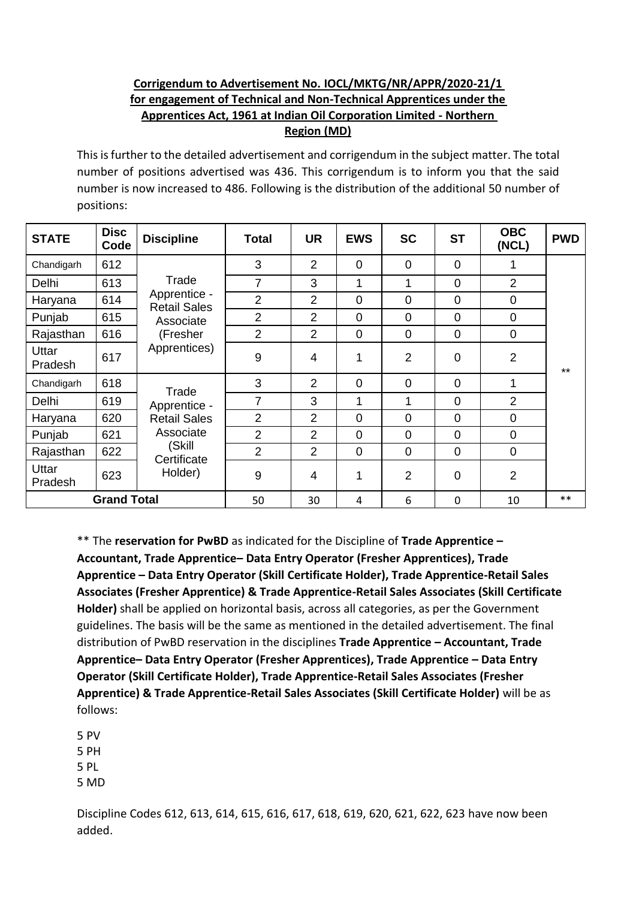## **Corrigendum to Advertisement No. IOCL/MKTG/NR/APPR/2020-21/1 for engagement of Technical and Non-Technical Apprentices under the Apprentices Act, 1961 at Indian Oil Corporation Limited - Northern Region (MD)**

This isfurther to the detailed advertisement and corrigendum in the subject matter. The total number of positions advertised was 436. This corrigendum is to inform you that the said number is now increased to 486. Following is the distribution of the additional 50 number of positions:

| <b>STATE</b>            | <b>Disc</b><br>Code | <b>Discipline</b>                                                                             | <b>Total</b>   | <b>UR</b>      | <b>EWS</b>     | <b>SC</b>      | <b>ST</b>      | <b>OBC</b><br>(NCL) | <b>PWD</b> |
|-------------------------|---------------------|-----------------------------------------------------------------------------------------------|----------------|----------------|----------------|----------------|----------------|---------------------|------------|
| Chandigarh              | 612                 | Trade<br>Apprentice -<br><b>Retail Sales</b><br>Associate<br>(Fresher<br>Apprentices)         | 3              | $\overline{2}$ | $\mathbf 0$    | $\overline{0}$ | $\overline{0}$ |                     |            |
| Delhi                   | 613                 |                                                                                               | $\overline{7}$ | 3              | 1              |                | $\overline{0}$ | $\overline{2}$      |            |
| Haryana                 | 614                 |                                                                                               | $\overline{2}$ | $\overline{2}$ | $\overline{0}$ | $\overline{0}$ | $\overline{0}$ | $\overline{0}$      |            |
| Punjab                  | 615                 |                                                                                               | 2              | 2              | $\overline{0}$ | $\overline{0}$ | $\overline{0}$ | $\overline{0}$      |            |
| Rajasthan               | 616                 |                                                                                               | $\overline{2}$ | $\overline{2}$ | $\mathbf 0$    | $\overline{0}$ | $\overline{0}$ | $\mathbf 0$         |            |
| Uttar<br><b>Pradesh</b> | 617                 |                                                                                               | 9              | 4              | 1              | $\overline{2}$ | $\mathbf 0$    | $\overline{2}$      | $***$      |
| Chandigarh              | 618                 | Trade<br>Apprentice -<br><b>Retail Sales</b><br>Associate<br>(Skill<br>Certificate<br>Holder) | 3              | $\overline{2}$ | $\mathbf 0$    | $\mathbf 0$    | $\overline{0}$ |                     |            |
| Delhi                   | 619                 |                                                                                               | $\overline{7}$ | 3              | 1              | 1              | $\overline{0}$ | 2                   |            |
| Haryana                 | 620                 |                                                                                               | $\overline{2}$ | $\overline{2}$ | $\mathbf 0$    | $\overline{0}$ | $\overline{0}$ | $\mathbf 0$         |            |
| Punjab                  | 621                 |                                                                                               | $\overline{2}$ | 2              | $\mathbf 0$    | 0              | $\mathbf 0$    | $\mathbf 0$         |            |
| Rajasthan               | 622                 |                                                                                               | 2              | $\overline{2}$ | $\mathbf 0$    | $\mathbf 0$    | $\mathbf 0$    | $\overline{0}$      |            |
| Uttar<br>Pradesh        | 623                 |                                                                                               | 9              | 4              | 1              | $\overline{2}$ | $\overline{0}$ | $\overline{2}$      |            |
| <b>Grand Total</b>      |                     |                                                                                               | 50             | 30             | 4              | 6              | 0              | 10                  | $**$       |

\*\* The **reservation for PwBD** as indicated for the Discipline of **Trade Apprentice – Accountant, Trade Apprentice– Data Entry Operator (Fresher Apprentices), Trade Apprentice – Data Entry Operator (Skill Certificate Holder), Trade Apprentice-Retail Sales Associates (Fresher Apprentice) & Trade Apprentice-Retail Sales Associates (Skill Certificate Holder)** shall be applied on horizontal basis, across all categories, as per the Government guidelines. The basis will be the same as mentioned in the detailed advertisement. The final distribution of PwBD reservation in the disciplines **Trade Apprentice – Accountant, Trade Apprentice– Data Entry Operator (Fresher Apprentices), Trade Apprentice – Data Entry Operator (Skill Certificate Holder), Trade Apprentice-Retail Sales Associates (Fresher Apprentice) & Trade Apprentice-Retail Sales Associates (Skill Certificate Holder)** will be as follows:

5 PV 5 PH 5 PL 5 MD

Discipline Codes 612, 613, 614, 615, 616, 617, 618, 619, 620, 621, 622, 623 have now been added.